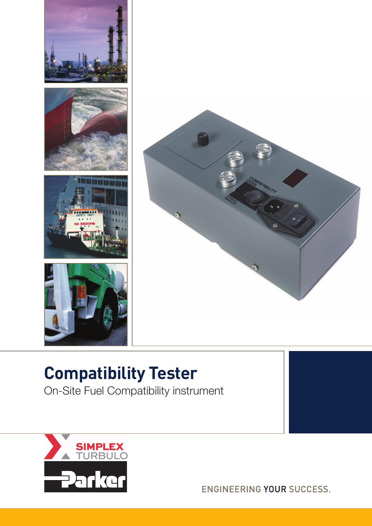



## **Compatibility Tester**

On-Site Fuel Compatibility instrument



ENGINEERING YOUR SUCCESS.